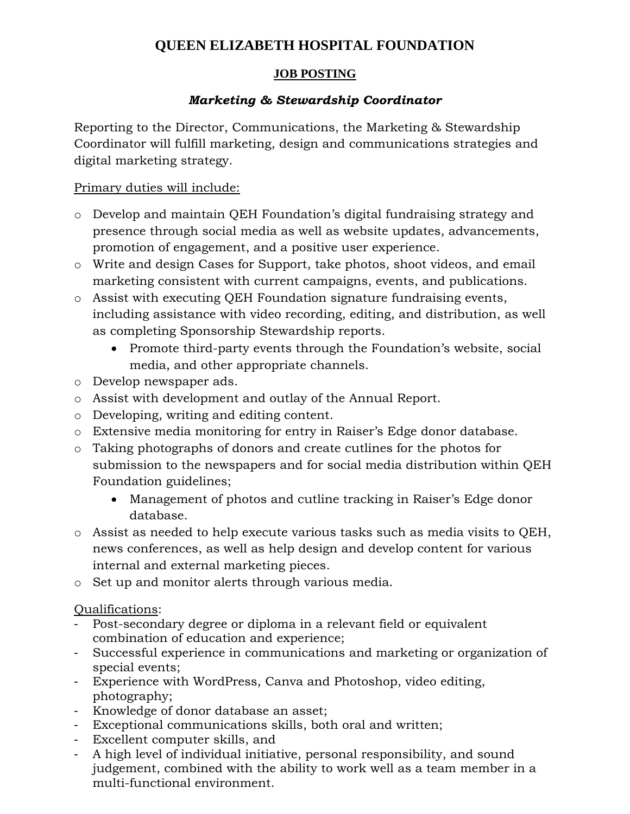# **QUEEN ELIZABETH HOSPITAL FOUNDATION**

# **JOB POSTING**

# *Marketing & Stewardship Coordinator*

Reporting to the Director, Communications, the Marketing & Stewardship Coordinator will fulfill marketing, design and communications strategies and digital marketing strategy.

### Primary duties will include:

- o Develop and maintain QEH Foundation's digital fundraising strategy and presence through social media as well as website updates, advancements, promotion of engagement, and a positive user experience.
- o Write and design Cases for Support, take photos, shoot videos, and email marketing consistent with current campaigns, events, and publications.
- o Assist with executing QEH Foundation signature fundraising events, including assistance with video recording, editing, and distribution, as well as completing Sponsorship Stewardship reports.
	- Promote third-party events through the Foundation's website, social media, and other appropriate channels.
- o Develop newspaper ads.
- o Assist with development and outlay of the Annual Report.
- o Developing, writing and editing content.
- o Extensive media monitoring for entry in Raiser's Edge donor database.
- o Taking photographs of donors and create cutlines for the photos for submission to the newspapers and for social media distribution within QEH Foundation guidelines;
	- Management of photos and cutline tracking in Raiser's Edge donor database.
- o Assist as needed to help execute various tasks such as media visits to QEH, news conferences, as well as help design and develop content for various internal and external marketing pieces.
- o Set up and monitor alerts through various media.

# Qualifications:

- Post-secondary degree or diploma in a relevant field or equivalent combination of education and experience;
- Successful experience in communications and marketing or organization of special events;
- Experience with WordPress, Canva and Photoshop, video editing, photography;
- Knowledge of donor database an asset;
- Exceptional communications skills, both oral and written;
- Excellent computer skills, and
- A high level of individual initiative, personal responsibility, and sound judgement, combined with the ability to work well as a team member in a multi-functional environment.